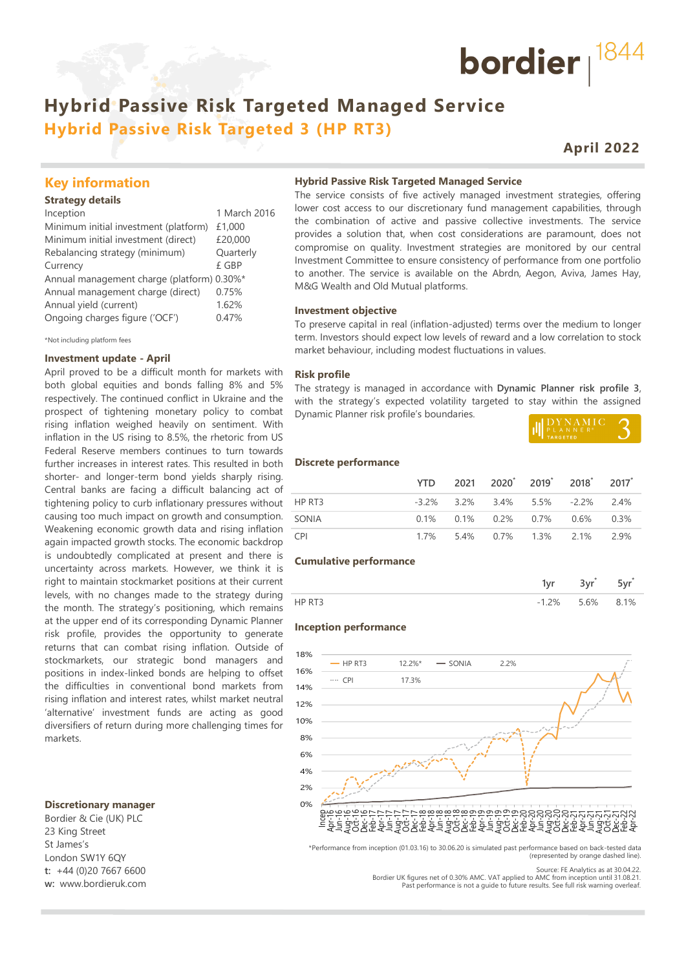## **Hybrid Passive Risk Targeted Managed Service Hybrid Passive Risk Targeted 3 (HP RT3)**

## **April 2022**

bordier  $1844$ 

## **Key information**

#### **Strategy details**

| Inception                                  | 1 March 2016 |
|--------------------------------------------|--------------|
| Minimum initial investment (platform)      | £1,000       |
| Minimum initial investment (direct)        | £20,000      |
| Rebalancing strategy (minimum)             | Quarterly    |
| Currency                                   | £ GBP        |
| Annual management charge (platform) 0.30%* |              |
| Annual management charge (direct)          | 0.75%        |
| Annual yield (current)                     | 1.62%        |
| Ongoing charges figure ('OCF')             | 0.47%        |
|                                            |              |

\*Not including platform fees

#### **Investment update - April**

April proved to be a difficult month for markets with both global equities and bonds falling 8% and 5% respectively. The continued conflict in Ukraine and the prospect of tightening monetary policy to combat rising inflation weighed heavily on sentiment. With inflation in the US rising to 8.5%, the rhetoric from US Federal Reserve members continues to turn towards further increases in interest rates. This resulted in both shorter- and longer-term bond yields sharply rising. Central banks are facing a difficult balancing act of tightening policy to curb inflationary pressures without causing too much impact on growth and consumption. Weakening economic growth data and rising inflation again impacted growth stocks. The economic backdrop is undoubtedly complicated at present and there is uncertainty across markets. However, we think it is right to maintain stockmarket positions at their current levels, with no changes made to the strategy during the month. The strategy's positioning, which remains at the upper end of its corresponding Dynamic Planner risk profile, provides the opportunity to generate returns that can combat rising inflation. Outside of stockmarkets, our strategic bond managers and positions in index-linked bonds are helping to offset the difficulties in conventional bond markets from rising inflation and interest rates, whilst market neutral 'alternative' investment funds are acting as good diversifiers of return during more challenging times for markets.

#### **Discretionary manager**

Bordier & Cie (UK) PLC 23 King Street St James's London SW1Y 6QY **t:** +44 (0)20 7667 6600 **w:** www.bordieruk.com

#### **Hybrid Passive Risk Targeted Managed Service**

The service consists of five actively managed investment strategies, offering lower cost access to our discretionary fund management capabilities, through the combination of active and passive collective investments. The service provides a solution that, when cost considerations are paramount, does not compromise on quality. Investment strategies are monitored by our central Investment Committee to ensure consistency of performance from one portfolio to another. The service is available on the Abrdn, Aegon, Aviva, James Hay, M&G Wealth and Old Mutual platforms.

#### **Investment objective**

To preserve capital in real (inflation-adjusted) terms over the medium to longer term. Investors should expect low levels of reward and a low correlation to stock market behaviour, including modest fluctuations in values.

#### **Risk profile**

The strategy is managed in accordance with **Dynamic Planner risk profile 3**, with the strategy's expected volatility targeted to stay within the assigned Dynamic Planner risk profile's boundaries.

| DYNAMIC |  |
|---------|--|
|         |  |

#### **Discrete performance**

|            |  |  | YTD 2021 2020 <sup>*</sup> 2019 <sup>*</sup> 2018 <sup>*</sup> 2017 <sup>*</sup> |  |
|------------|--|--|----------------------------------------------------------------------------------|--|
| HP RT3     |  |  | $-3.2\%$ 3.2% 3.4% 5.5% $-2.2\%$ 2.4%                                            |  |
| SONIA      |  |  | $0.1\%$ $0.1\%$ $0.2\%$ $0.7\%$ $0.6\%$ $0.3\%$                                  |  |
| <b>CPI</b> |  |  | 1.7% 5.4% 0.7% 1.3% 2.1% 2.9%                                                    |  |

#### **Cumulative performance**

| $\sim$ | $56\%$ | 1% |
|--------|--------|----|

#### **Inception performance**



\*Performance from inception (01.03.16) to 30.06.20 is simulated past performance based on back-tested data (represented by orange dashed line).

Source: FE Analytics as at 30.04.22.

Bordier UK figures net of 0.30% AMC. VAT applied to AMC from inception until 31.08.21. Past performance is not a guide to future results. See full risk warning overleaf.